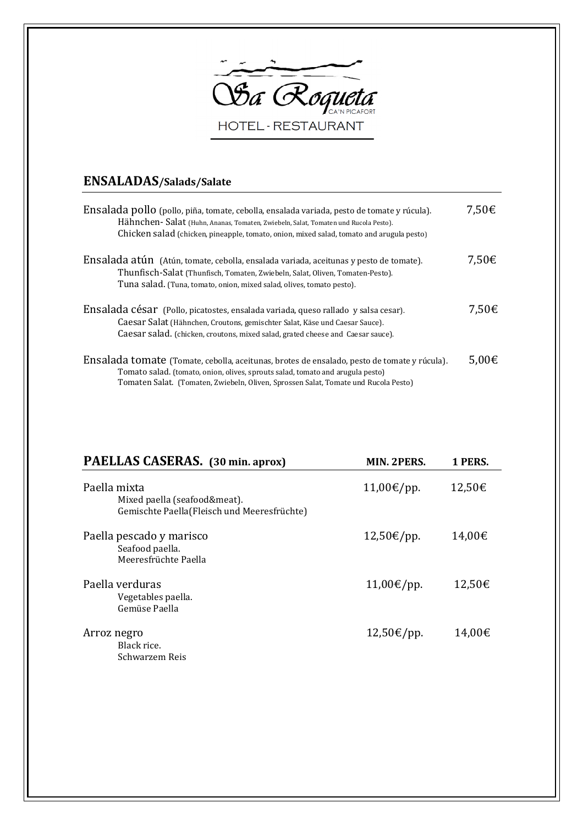

## ENSALADAS/Salads/Salate

| Ensalada pollo (pollo, piña, tomate, cebolla, ensalada variada, pesto de tomate y rúcula).<br>Hähnchen- Salat (Huhn, Ananas, Tomaten, Zwiebeln, Salat, Tomaten und Rucola Pesto).<br>Chicken salad (chicken, pineapple, tomato, onion, mixed salad, tomato and arugula pesto) | 7,50€           |
|-------------------------------------------------------------------------------------------------------------------------------------------------------------------------------------------------------------------------------------------------------------------------------|-----------------|
| Ensalada atún (Atún, tomate, cebolla, ensalada variada, aceitunas y pesto de tomate).<br>Thunfisch-Salat (Thunfisch, Tomaten, Zwiebeln, Salat, Oliven, Tomaten-Pesto).<br>Tuna salad. (Tuna, tomato, onion, mixed salad, olives, tomato pesto).                               | 7,50€           |
| Ensalada césar (Pollo, picatostes, ensalada variada, queso rallado y salsa cesar).<br>Caesar Salat (Hähnchen, Croutons, gemischter Salat, Käse und Caesar Sauce).<br>Caesar salad. (chicken, croutons, mixed salad, grated cheese and Caesar sauce).                          | 7,50€           |
| Ensalada tomate (Tomate, cebolla, aceitunas, brotes de ensalado, pesto de tomate y rúcula).<br>Tomato salad. (tomato, onion, olives, sprouts salad, tomato and arugula pesto)<br>Tomaten Salat. (Tomaten, Zwiebeln, Oliven, Sprossen Salat, Tomate und Rucola Pesto)          | 5,00 $\epsilon$ |

| PAELLAS CASERAS. (30 min. aprox)                                                            | <b>MIN. 2PERS.</b> | 1 PERS. |
|---------------------------------------------------------------------------------------------|--------------------|---------|
| Paella mixta<br>Mixed paella (seafood&meat).<br>Gemischte Paella(Fleisch und Meeresfrüchte) | 11,00€/pp.         | 12,50€  |
| Paella pescado y marisco<br>Seafood paella.<br>Meeresfrüchte Paella                         | 12,50€/pp.         | 14,00€  |
| Paella verduras<br>Vegetables paella.<br>Gemüse Paella                                      | 11,00€/pp.         | 12,50€  |
| Arroz negro<br>Black rice.<br>Schwarzem Reis                                                | 12,50€/pp.         | 14,00€  |